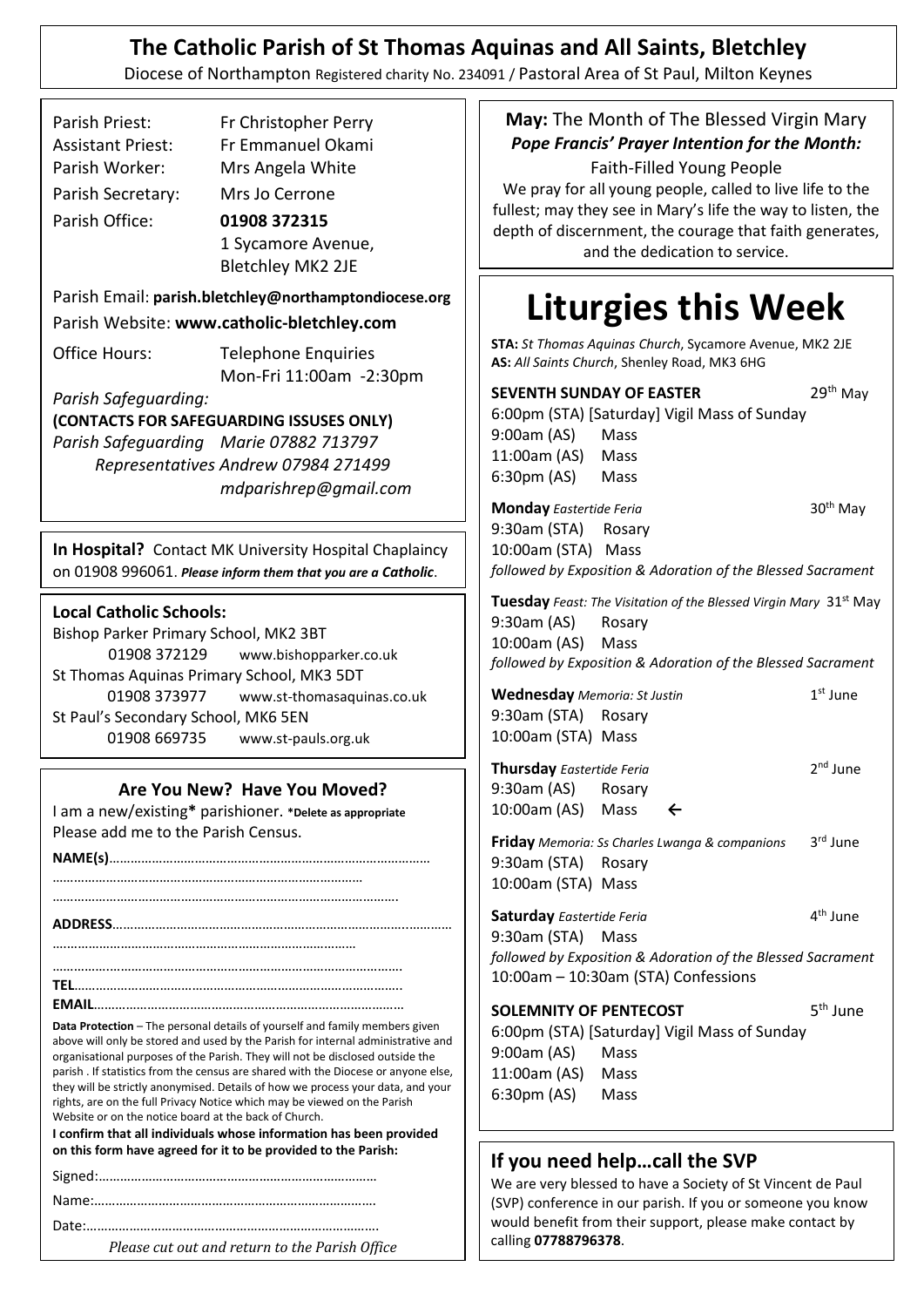# **The Catholic Parish of St Thomas Aquinas and All Saints, Bletchley**

Diocese of Northampton Registered charity No. 234091 / Pastoral Area of St Paul, Milton Keynes

| Parish Priest:           | Fr Christopher Perry                                  |  |
|--------------------------|-------------------------------------------------------|--|
| <b>Assistant Priest:</b> | Fr Emmanuel Okami                                     |  |
| Parish Worker:           | Mrs Angela White                                      |  |
| Parish Secretary:        | Mrs Jo Cerrone                                        |  |
| Parish Office:           | 01908 372315                                          |  |
|                          | 1 Sycamore Avenue,                                    |  |
|                          | <b>Bletchley MK2 2JE</b>                              |  |
|                          | Parish Email: parish.bletchley@northamptondiocese.org |  |
|                          | Parish Website: www.catholic-bletchley.com            |  |
| Office Hours:            | <b>Telephone Enquiries</b>                            |  |
|                          | Mon-Fri 11:00am -2:30pm                               |  |
| Parish Safeguarding:     |                                                       |  |
|                          |                                                       |  |

**(CONTACTS FOR SAFEGUARDING ISSUSES ONLY)** *Parish Safeguarding Marie 07882 713797 Representatives Andrew 07984 271499 [mdparishrep@gmail.com](mailto:mdparishrep@gmail.com)*

**In Hospital?** Contact MK University Hospital Chaplaincy on 01908 996061. *Please inform them that you are a Catholic*.

#### **Local Catholic Schools:**

Bishop Parker Primary School, MK2 3BT 01908 372129 www.bishopparker.co.uk St Thomas Aquinas Primary School, MK3 5DT 01908 373977 www.st-thomasaquinas.co.uk St Paul's Secondary School, MK6 5EN 01908 669735 www.st-pauls.org.uk

#### **Are You New? Have You Moved?**

I am a new/existing**\*** parishioner. **\*Delete as appropriate** Please add me to the Parish Census.

**NAME(s)**……………………………………………………………………………… …………………………………………………………………………… ……………………………………………………………………………………. **ADDRESS**………………………………………………………………………..………… ….……………………………………………………………………… …………….………………………………………………………………………. **TEL**……………………………………………………………………………….. **EMAIL**……………………………………………………………………………

**Data Protection** – The personal details of yourself and family members given above will only be stored and used by the Parish for internal administrative and organisational purposes of the Parish. They will not be disclosed outside the parish . If statistics from the census are shared with the Diocese or anyone else, they will be strictly anonymised. Details of how we process your data, and your rights, are on the full Privacy Notice which may be viewed on the Parish Website or on the notice board at the back of Church.

**I confirm that all individuals whose information has been provided on this form have agreed for it to be provided to the Parish:**

Date:……………………………………………………………………….

*Please cut out and return to the Parish Office*

**May:** The Month of The Blessed Virgin Mary *Pope Francis' Prayer Intention for the Month:*

Faith-Filled Young People We pray for all young people, called to live life to the fullest; may they see in Mary's life the way to listen, the depth of discernment, the courage that faith generates, and the dedication to service.

# **Liturgies this Week**

**STA:** *St Thomas Aquinas Church*, Sycamore Avenue, MK2 2JE **AS:** *All Saints Church*, Shenley Road, MK3 6HG

| 9:00am (AS) Mass<br>11:00am (AS) Mass<br>6:30pm (AS) Mass<br><b>Monday</b> Eastertide Feria<br>9:30am (STA) Rosary<br>10:00am (STA) Mass<br>9:30am (AS) Rosary<br>10:00am (AS) Mass<br><b>Wednesday</b> Memoria: St Justin | 6:00pm (STA) [Saturday] Vigil Mass of Sunday<br>followed by Exposition & Adoration of the Blessed Sacrament<br><b>Tuesday</b> Feast: The Visitation of the Blessed Virgin Mary 31 <sup>st</sup> May<br>followed by Exposition & Adoration of the Blessed Sacrament | 30 <sup>th</sup> May<br>$1^{\rm st}$ June |
|----------------------------------------------------------------------------------------------------------------------------------------------------------------------------------------------------------------------------|--------------------------------------------------------------------------------------------------------------------------------------------------------------------------------------------------------------------------------------------------------------------|-------------------------------------------|
|                                                                                                                                                                                                                            |                                                                                                                                                                                                                                                                    |                                           |
|                                                                                                                                                                                                                            |                                                                                                                                                                                                                                                                    |                                           |
|                                                                                                                                                                                                                            |                                                                                                                                                                                                                                                                    |                                           |
|                                                                                                                                                                                                                            |                                                                                                                                                                                                                                                                    |                                           |
|                                                                                                                                                                                                                            |                                                                                                                                                                                                                                                                    |                                           |
|                                                                                                                                                                                                                            |                                                                                                                                                                                                                                                                    |                                           |
|                                                                                                                                                                                                                            |                                                                                                                                                                                                                                                                    |                                           |
|                                                                                                                                                                                                                            |                                                                                                                                                                                                                                                                    |                                           |
|                                                                                                                                                                                                                            |                                                                                                                                                                                                                                                                    |                                           |
|                                                                                                                                                                                                                            |                                                                                                                                                                                                                                                                    |                                           |
|                                                                                                                                                                                                                            |                                                                                                                                                                                                                                                                    |                                           |
|                                                                                                                                                                                                                            |                                                                                                                                                                                                                                                                    |                                           |
|                                                                                                                                                                                                                            |                                                                                                                                                                                                                                                                    |                                           |
| 9:30am (STA) Rosary                                                                                                                                                                                                        |                                                                                                                                                                                                                                                                    |                                           |
| 10:00am (STA) Mass                                                                                                                                                                                                         |                                                                                                                                                                                                                                                                    |                                           |
| Thursday Eastertide Feria                                                                                                                                                                                                  |                                                                                                                                                                                                                                                                    | $2nd$ June                                |
| 9:30am (AS) Rosary                                                                                                                                                                                                         |                                                                                                                                                                                                                                                                    |                                           |
| 10:00am (AS) Mass                                                                                                                                                                                                          | $\leftarrow$                                                                                                                                                                                                                                                       |                                           |
|                                                                                                                                                                                                                            | Friday Memoria: Ss Charles Lwanga & companions                                                                                                                                                                                                                     | 3rd June                                  |
| 9:30am (STA) Rosary                                                                                                                                                                                                        |                                                                                                                                                                                                                                                                    |                                           |
| 10:00am (STA) Mass                                                                                                                                                                                                         |                                                                                                                                                                                                                                                                    |                                           |
| Saturday Eastertide Feria                                                                                                                                                                                                  |                                                                                                                                                                                                                                                                    | 4 <sup>th</sup> June                      |
| 9:30am (STA) Mass                                                                                                                                                                                                          |                                                                                                                                                                                                                                                                    |                                           |
|                                                                                                                                                                                                                            | followed by Exposition & Adoration of the Blessed Sacrament                                                                                                                                                                                                        |                                           |
|                                                                                                                                                                                                                            | 10:00am - 10:30am (STA) Confessions                                                                                                                                                                                                                                |                                           |
|                                                                                                                                                                                                                            |                                                                                                                                                                                                                                                                    | 5 <sup>th</sup> June                      |
|                                                                                                                                                                                                                            |                                                                                                                                                                                                                                                                    |                                           |
|                                                                                                                                                                                                                            |                                                                                                                                                                                                                                                                    |                                           |
|                                                                                                                                                                                                                            | 6:00pm (STA) [Saturday] Vigil Mass of Sunday                                                                                                                                                                                                                       |                                           |
| 9:00am (AS) Mass<br>11:00am (AS) Mass                                                                                                                                                                                      |                                                                                                                                                                                                                                                                    |                                           |
|                                                                                                                                                                                                                            |                                                                                                                                                                                                                                                                    | <b>SOLEMNITY OF PENTECOST</b>             |

#### **If you need help…call the SVP**

.

We are very blessed to have a Society of St Vincent de Paul (SVP) conference in our parish. If you or someone you know would benefit from their support, please make contact by calling **07788796378**.